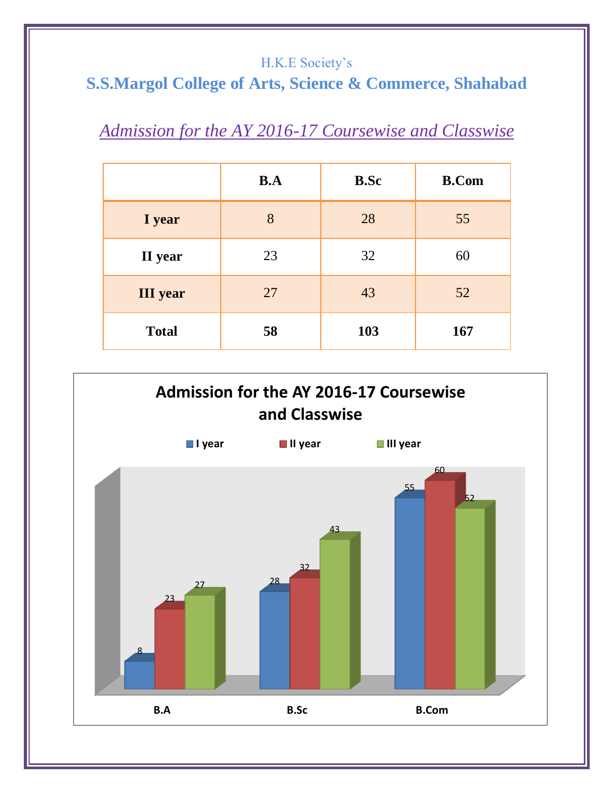### H.K.E Society's

# **S.S.Margol College of Arts, Science & Commerce, Shahabad**

# *Admission for the AY 2016-17 Coursewise and Classwise*

|                 | B.A | <b>B.Sc</b> | <b>B.Com</b> |
|-----------------|-----|-------------|--------------|
| I year          | 8   | 28          | 55           |
| II year         | 23  | 32          | 60           |
| <b>III</b> year | 27  | 43          | 52           |
| <b>Total</b>    | 58  | 103         | 167          |

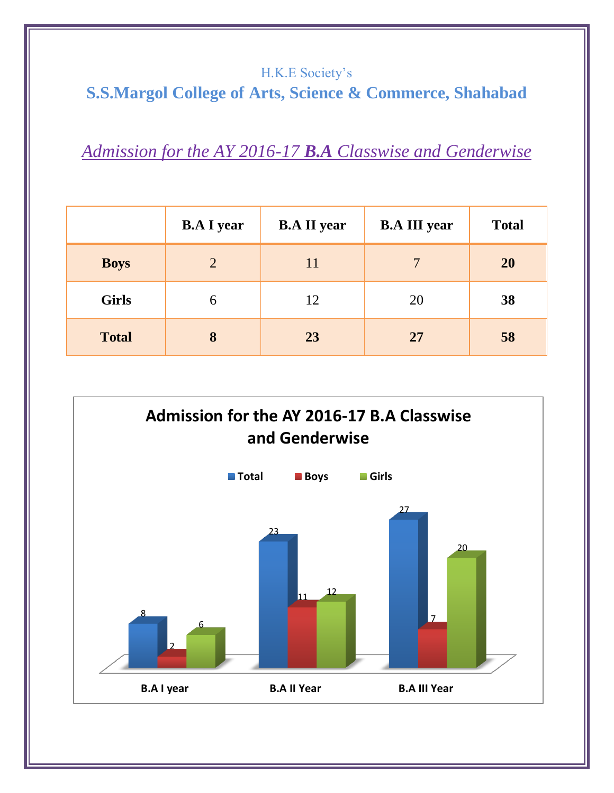#### H.K.E Society's

## **S.S.Margol College of Arts, Science & Commerce, Shahabad**

*Admission for the AY 2016-17 B.A Classwise and Genderwise*

|              | <b>B.A I year</b> | <b>B.A II year</b> | <b>B.A III year</b> | <b>Total</b> |
|--------------|-------------------|--------------------|---------------------|--------------|
| <b>Boys</b>  | $\overline{2}$    | 11                 | 7                   | <b>20</b>    |
| <b>Girls</b> | 6                 | 12                 | 20                  | 38           |
| <b>Total</b> | 8                 | 23                 | 27                  | 58           |

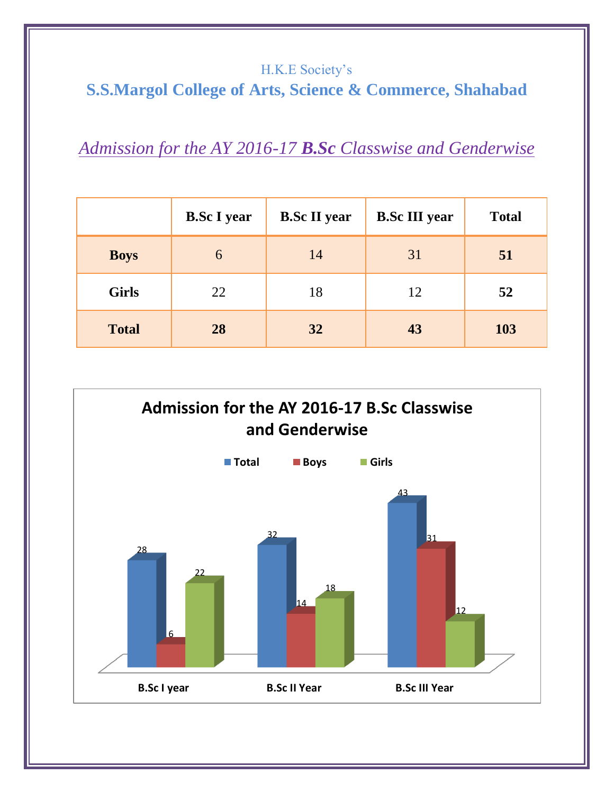## H.K.E Society's **S.S.Margol College of Arts, Science & Commerce, Shahabad**

*Admission for the AY 2016-17 B.Sc Classwise and Genderwise*

|              | <b>B.Sc I year</b> | <b>B.Sc II year</b> | <b>B.Sc III year</b> | <b>Total</b> |
|--------------|--------------------|---------------------|----------------------|--------------|
| <b>Boys</b>  | 6                  | 14                  | 31                   | 51           |
| <b>Girls</b> | 22                 | 18                  | 12                   | 52           |
| <b>Total</b> | 28                 | 32                  | 43                   | 103          |